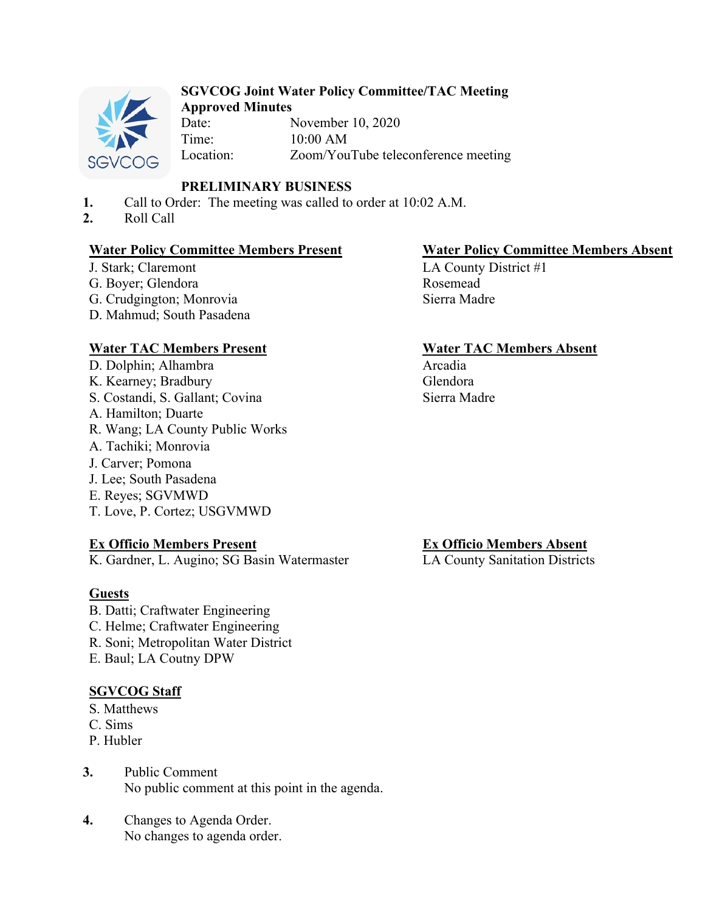

# **SGVCOG Joint Water Policy Committee/TAC Meeting**

**Approved Minutes** November 10, 2020 Time: 10:00 AM Location: Zoom/YouTube teleconference meeting

# **PRELIMINARY BUSINESS**

- **1.** Call to Order: The meeting was called to order at 10:02 A.M.
- **2.** Roll Call

# **Water Policy Committee Members Present Water Policy Committee Members Absent**

J. Stark; Claremont G. Boyer; Glendora G. Crudgington; Monrovia D. Mahmud; South Pasadena

# **Water TAC Members Present Water TAC Members Absent**

D. Dolphin; Alhambra K. Kearney; Bradbury S. Costandi, S. Gallant; Covina A. Hamilton; Duarte R. Wang; LA County Public Works A. Tachiki; Monrovia J. Carver; Pomona J. Lee; South Pasadena E. Reyes; SGVMWD T. Love, P. Cortez; USGVMWD

# **Ex Officio Members Present**

K. Gardner, L. Augino; SG Basin Watermaster

# **Guests**

B. Datti; Craftwater Engineering C. Helme; Craftwater Engineering R. Soni; Metropolitan Water District E. Baul; LA Coutny DPW

# **SGVCOG Staff**

- S. Matthews
- C. Sims
- P. Hubler
- **3.** Public Comment No public comment at this point in the agenda.
- **4.** Changes to Agenda Order. No changes to agenda order.

LA County District #1 Rosemead Sierra Madre

Arcadia Glendora Sierra Madre

# **Ex Officio Members Absent**

LA County Sanitation Districts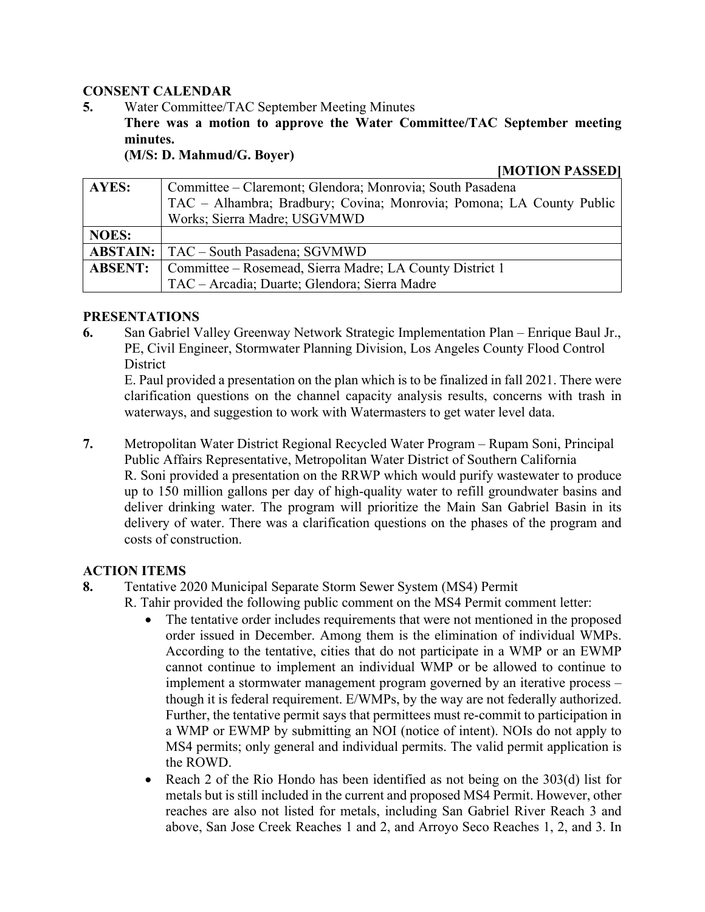### **CONSENT CALENDAR**

**5.** Water Committee/TAC September Meeting Minutes

**There was a motion to approve the Water Committee/TAC September meeting minutes.**

**(M/S: D. Mahmud/G. Boyer)**

**[MOTION PASSED]**

| <b>AYES:</b>   | Committee – Claremont; Glendora; Monrovia; South Pasadena            |
|----------------|----------------------------------------------------------------------|
|                | TAC – Alhambra; Bradbury; Covina; Monrovia; Pomona; LA County Public |
|                | Works; Sierra Madre; USGVMWD                                         |
| <b>NOES:</b>   |                                                                      |
|                | <b>ABSTAIN:</b>   TAC – South Pasadena; SGVMWD                       |
| <b>ABSENT:</b> | Committee – Rosemead, Sierra Madre; LA County District 1             |
|                | TAC – Arcadia; Duarte; Glendora; Sierra Madre                        |

#### **PRESENTATIONS**

**6.** San Gabriel Valley Greenway Network Strategic Implementation Plan – Enrique Baul Jr., PE, Civil Engineer, Stormwater Planning Division, Los Angeles County Flood Control **District** 

E. Paul provided a presentation on the plan which is to be finalized in fall 2021. There were clarification questions on the channel capacity analysis results, concerns with trash in waterways, and suggestion to work with Watermasters to get water level data.

**7.** Metropolitan Water District Regional Recycled Water Program – Rupam Soni, Principal Public Affairs Representative, Metropolitan Water District of Southern California R. Soni provided a presentation on the RRWP which would purify wastewater to produce up to 150 million gallons per day of high-quality water to refill groundwater basins and deliver drinking water. The program will prioritize the Main San Gabriel Basin in its delivery of water. There was a clarification questions on the phases of the program and costs of construction.

# **ACTION ITEMS**

- **8.** Tentative 2020 Municipal Separate Storm Sewer System (MS4) Permit
	- R. Tahir provided the following public comment on the MS4 Permit comment letter:
		- The tentative order includes requirements that were not mentioned in the proposed order issued in December. Among them is the elimination of individual WMPs. According to the tentative, cities that do not participate in a WMP or an EWMP cannot continue to implement an individual WMP or be allowed to continue to implement a stormwater management program governed by an iterative process – though it is federal requirement. E/WMPs, by the way are not federally authorized. Further, the tentative permit says that permittees must re-commit to participation in a WMP or EWMP by submitting an NOI (notice of intent). NOIs do not apply to MS4 permits; only general and individual permits. The valid permit application is the ROWD.
		- Reach 2 of the Rio Hondo has been identified as not being on the 303(d) list for metals but is still included in the current and proposed MS4 Permit. However, other reaches are also not listed for metals, including San Gabriel River Reach 3 and above, San Jose Creek Reaches 1 and 2, and Arroyo Seco Reaches 1, 2, and 3. In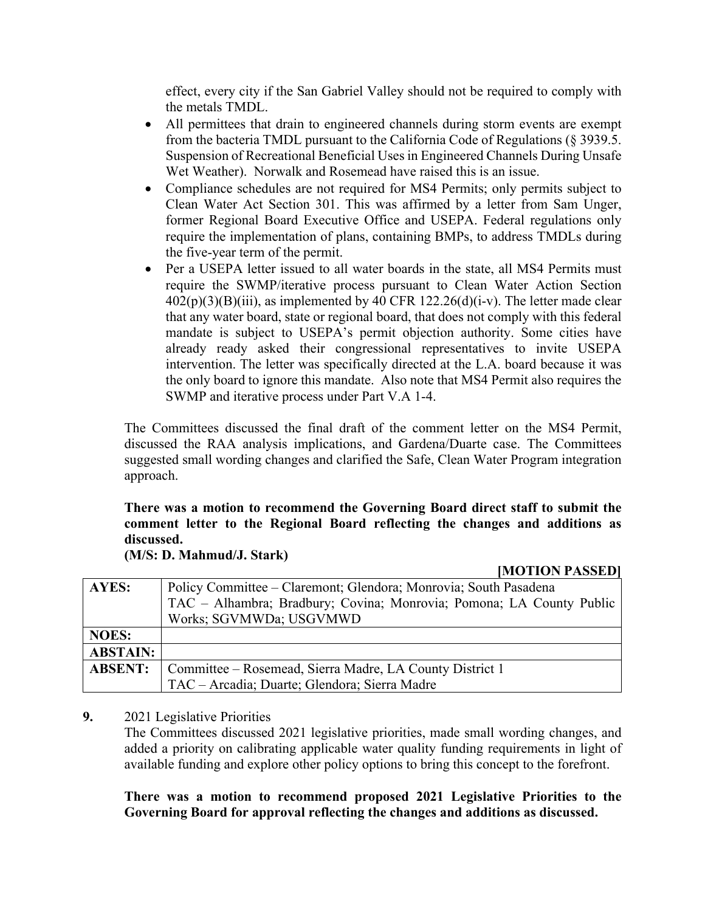effect, every city if the San Gabriel Valley should not be required to comply with the metals TMDL.

- All permittees that drain to engineered channels during storm events are exempt from the bacteria TMDL pursuant to the California Code of Regulations (§ 3939.5. Suspension of Recreational Beneficial Uses in Engineered Channels During Unsafe Wet Weather). Norwalk and Rosemead have raised this is an issue.
- Compliance schedules are not required for MS4 Permits; only permits subject to Clean Water Act Section 301. This was affirmed by a letter from Sam Unger, former Regional Board Executive Office and USEPA. Federal regulations only require the implementation of plans, containing BMPs, to address TMDLs during the five-year term of the permit.
- Per a USEPA letter issued to all water boards in the state, all MS4 Permits must require the SWMP/iterative process pursuant to Clean Water Action Section  $402(p)(3)(B)(iii)$ , as implemented by  $40$  CFR 122.26(d)(i-v). The letter made clear that any water board, state or regional board, that does not comply with this federal mandate is subject to USEPA's permit objection authority. Some cities have already ready asked their congressional representatives to invite USEPA intervention. The letter was specifically directed at the L.A. board because it was the only board to ignore this mandate. Also note that MS4 Permit also requires the SWMP and iterative process under Part V.A 1-4.

The Committees discussed the final draft of the comment letter on the MS4 Permit, discussed the RAA analysis implications, and Gardena/Duarte case. The Committees suggested small wording changes and clarified the Safe, Clean Water Program integration approach.

# **There was a motion to recommend the Governing Board direct staff to submit the comment letter to the Regional Board reflecting the changes and additions as discussed.**

**(M/S: D. Mahmud/J. Stark)**

**[MOTION PASSED]**

| AYES:           | Policy Committee – Claremont; Glendora; Monrovia; South Pasadena     |
|-----------------|----------------------------------------------------------------------|
|                 | TAC – Alhambra; Bradbury; Covina; Monrovia; Pomona; LA County Public |
|                 | Works; SGVMWDa; USGVMWD                                              |
| <b>NOES:</b>    |                                                                      |
| <b>ABSTAIN:</b> |                                                                      |
| <b>ABSENT:</b>  | Committee – Rosemead, Sierra Madre, LA County District 1             |
|                 | TAC – Arcadia; Duarte; Glendora; Sierra Madre                        |

#### **9.** 2021 Legislative Priorities

The Committees discussed 2021 legislative priorities, made small wording changes, and added a priority on calibrating applicable water quality funding requirements in light of available funding and explore other policy options to bring this concept to the forefront.

**There was a motion to recommend proposed 2021 Legislative Priorities to the Governing Board for approval reflecting the changes and additions as discussed.**